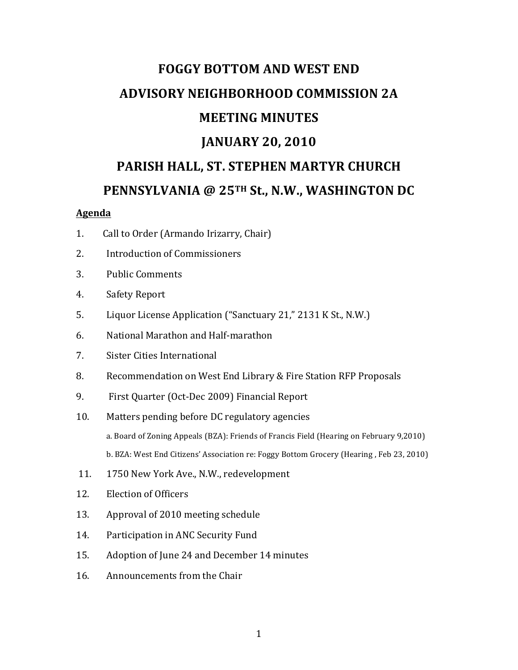# **FOGGY BOTTOM AND WEST END ADVISORY NEIGHBORHOOD COMMISSION 2A MEETING MINUTES JANUARY 20, 2010** PARISH HALL, ST. STEPHEN MARTYR CHURCH **PENNSYLVANIA @ 25TH St., N.W., WASHINGTON DC**

#### **Agenda**

- 1. Call to Order (Armando Irizarry, Chair)
- 2. Introduction of Commissioners
- 3. Public Comments
- 4. Safety Report
- 5. Liquor License Application ("Sanctuary 21," 2131 K St., N.W.)
- 6. National Marathon and Half-marathon
- 7. Sister Cities International
- 8. Recommendation on West End Library & Fire Station RFP Proposals
- 9. First Quarter (Oct-Dec 2009) Financial Report
- 10. Matters pending before DC regulatory agencies a. Board of Zoning Appeals (BZA): Friends of Francis Field (Hearing on February 9,2010) b. BZA: West End Citizens' Association re: Foggy Bottom Grocery (Hearing, Feb 23, 2010)
- 11. 1750 New York Ave., N.W., redevelopment
- 12. Election of Officers
- 13. Approval of 2010 meeting schedule
- 14. Participation in ANC Security Fund
- 15. Adoption of June 24 and December 14 minutes
- 16. Announcements from the Chair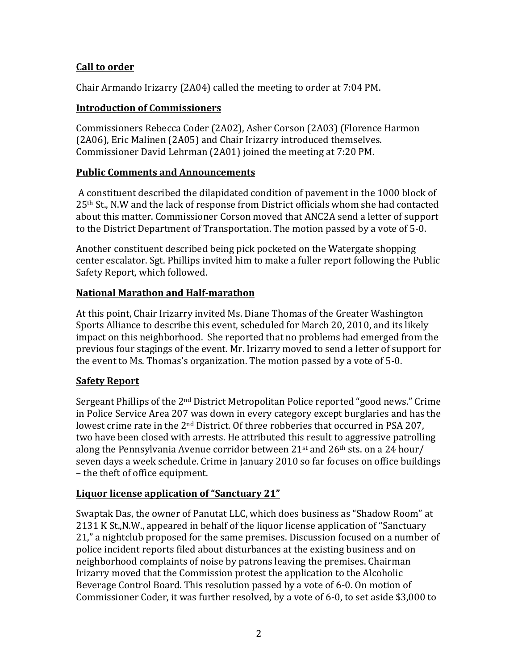## **Call to order**

Chair Armando Irizarry (2A04) called the meeting to order at 7:04 PM.

# **Introduction of Commissioners**

Commissioners Rebecca Coder (2A02), Asher Corson (2A03) (Florence Harmon (2A06), Eric Malinen (2A05) and Chair Irizarry introduced themselves. Commissioner David Lehrman (2A01) joined the meeting at 7:20 PM.

# **Public Comments and Announcements**

A constituent described the dilapidated condition of pavement in the 1000 block of  $25<sup>th</sup>$  St., N.W and the lack of response from District officials whom she had contacted about this matter. Commissioner Corson moved that ANC2A send a letter of support to the District Department of Transportation. The motion passed by a vote of 5-0.

Another constituent described being pick pocketed on the Watergate shopping center escalator. Sgt. Phillips invited him to make a fuller report following the Public Safety Report, which followed.

# **National Marathon and Half-marathon**

At this point, Chair Irizarry invited Ms. Diane Thomas of the Greater Washington Sports Alliance to describe this event, scheduled for March 20, 2010, and its likely impact on this neighborhood. She reported that no problems had emerged from the previous four stagings of the event. Mr. Irizarry moved to send a letter of support for the event to Ms. Thomas's organization. The motion passed by a vote of 5-0.

## **Safety Report**

Sergeant Phillips of the  $2<sup>nd</sup>$  District Metropolitan Police reported "good news." Crime in Police Service Area 207 was down in every category except burglaries and has the lowest crime rate in the  $2<sup>nd</sup>$  District. Of three robberies that occurred in PSA 207, two have been closed with arrests. He attributed this result to aggressive patrolling along the Pennsylvania Avenue corridor between  $21^{st}$  and  $26^{th}$  sts. on a 24 hour/ seven days a week schedule. Crime in January 2010 so far focuses on office buildings – the theft of office equipment.

## **Liquor license application of "Sanctuary 21"**

Swaptak Das, the owner of Panutat LLC, which does business as "Shadow Room" at 2131 K St., N.W., appeared in behalf of the liquor license application of "Sanctuary 21," a nightclub proposed for the same premises. Discussion focused on a number of police incident reports filed about disturbances at the existing business and on neighborhood complaints of noise by patrons leaving the premises. Chairman Irizarry moved that the Commission protest the application to the Alcoholic Beverage Control Board. This resolution passed by a vote of 6-0. On motion of Commissioner Coder, it was further resolved, by a vote of 6-0, to set aside \$3,000 to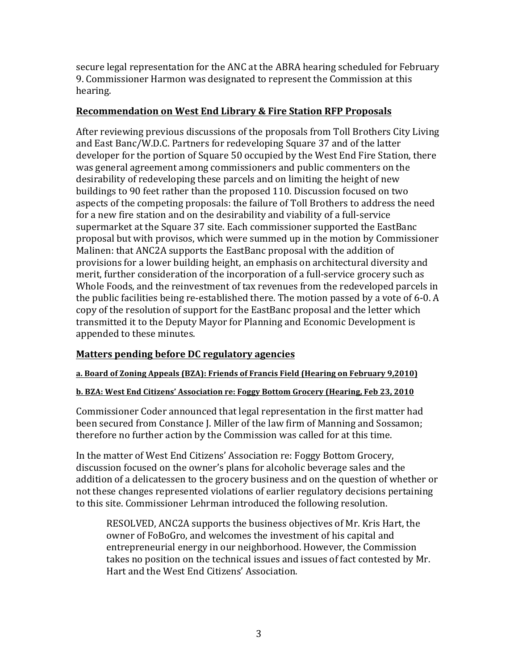secure legal representation for the ANC at the ABRA hearing scheduled for February 9. Commissioner Harmon was designated to represent the Commission at this hearing.

### **Recommendation on West End Library & Fire Station RFP Proposals**

After reviewing previous discussions of the proposals from Toll Brothers City Living and East Banc/W.D.C. Partners for redeveloping Square 37 and of the latter developer for the portion of Square 50 occupied by the West End Fire Station, there was general agreement among commissioners and public commenters on the desirability of redeveloping these parcels and on limiting the height of new buildings to 90 feet rather than the proposed 110. Discussion focused on two aspects of the competing proposals: the failure of Toll Brothers to address the need for a new fire station and on the desirability and viability of a full-service supermarket at the Square 37 site. Each commissioner supported the EastBanc proposal but with provisos, which were summed up in the motion by Commissioner Malinen: that ANC2A supports the EastBanc proposal with the addition of provisions for a lower building height, an emphasis on architectural diversity and merit, further consideration of the incorporation of a full-service grocery such as Whole Foods, and the reinvestment of tax revenues from the redeveloped parcels in the public facilities being re-established there. The motion passed by a vote of 6-0. A copy of the resolution of support for the EastBanc proposal and the letter which transmitted it to the Deputy Mayor for Planning and Economic Development is appended to these minutes.

## **Matters pending before DC regulatory agencies**

#### a. Board of Zoning Appeals (BZA): Friends of Francis Field (Hearing on February 9,2010)

#### **b.** BZA: West End Citizens' Association re: Foggy Bottom Grocery (Hearing, Feb 23, 2010

Commissioner Coder announced that legal representation in the first matter had been secured from Constance J. Miller of the law firm of Manning and Sossamon; therefore no further action by the Commission was called for at this time.

In the matter of West End Citizens' Association re: Foggy Bottom Grocery, discussion focused on the owner's plans for alcoholic beverage sales and the addition of a delicatessen to the grocery business and on the question of whether or not these changes represented violations of earlier regulatory decisions pertaining to this site. Commissioner Lehrman introduced the following resolution.

RESOLVED, ANC2A supports the business objectives of Mr. Kris Hart, the owner of FoBoGro, and welcomes the investment of his capital and entrepreneurial energy in our neighborhood. However, the Commission takes no position on the technical issues and issues of fact contested by Mr. Hart and the West End Citizens' Association.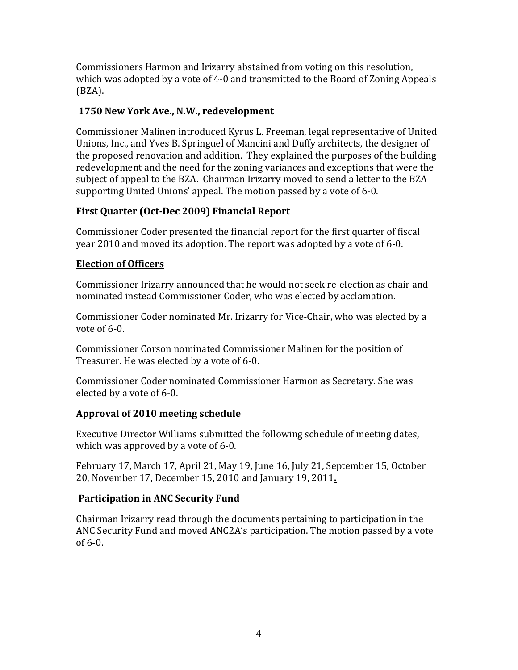Commissioners Harmon and Irizarry abstained from voting on this resolution, which was adopted by a vote of 4-0 and transmitted to the Board of Zoning Appeals (BZA).

## **1750 New York Ave., N.W., redevelopment**

Commissioner Malinen introduced Kyrus L. Freeman, legal representative of United Unions, Inc., and Yves B. Springuel of Mancini and Duffy architects, the designer of the proposed renovation and addition. They explained the purposes of the building redevelopment and the need for the zoning variances and exceptions that were the subject of appeal to the BZA. Chairman Irizarry moved to send a letter to the BZA supporting United Unions' appeal. The motion passed by a vote of 6-0.

# **First Quarter (Oct-Dec 2009) Financial Report**

Commissioner Coder presented the financial report for the first quarter of fiscal year 2010 and moved its adoption. The report was adopted by a vote of 6-0.

# **Election of Officers**

Commissioner Irizarry announced that he would not seek re-election as chair and nominated instead Commissioner Coder, who was elected by acclamation.

Commissioner Coder nominated Mr. Irizarry for Vice-Chair, who was elected by a vote of  $6-0$ .

Commissioner Corson nominated Commissioner Malinen for the position of Treasurer. He was elected by a vote of 6-0.

Commissioner Coder nominated Commissioner Harmon as Secretary. She was elected by a vote of 6-0.

# **Approval of 2010 meeting schedule**

Executive Director Williams submitted the following schedule of meeting dates, which was approved by a vote of  $6-0$ .

February 17, March 17, April 21, May 19, June 16, July 21, September 15, October 20, November 17, December 15, 2010 and January 19, 2011**.**

# **Participation in ANC Security Fund**

Chairman Irizarry read through the documents pertaining to participation in the ANC Security Fund and moved ANC2A's participation. The motion passed by a vote  $of 6-0.$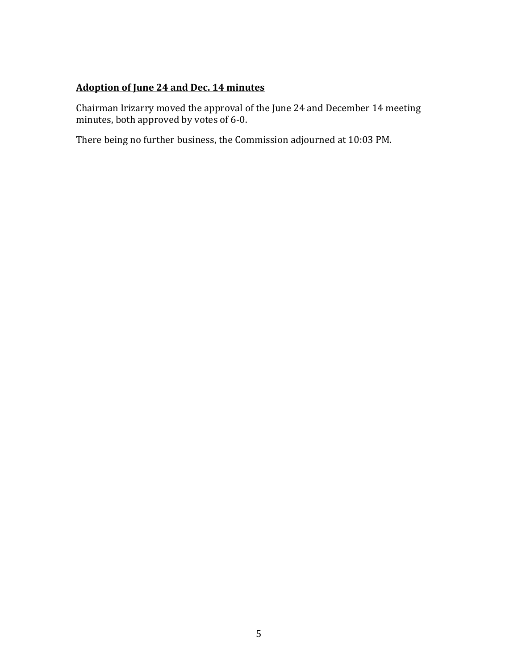## **Adoption of June 24 and Dec. 14 minutes**

Chairman Irizarry moved the approval of the June 24 and December 14 meeting minutes, both approved by votes of 6-0.

There being no further business, the Commission adjourned at 10:03 PM.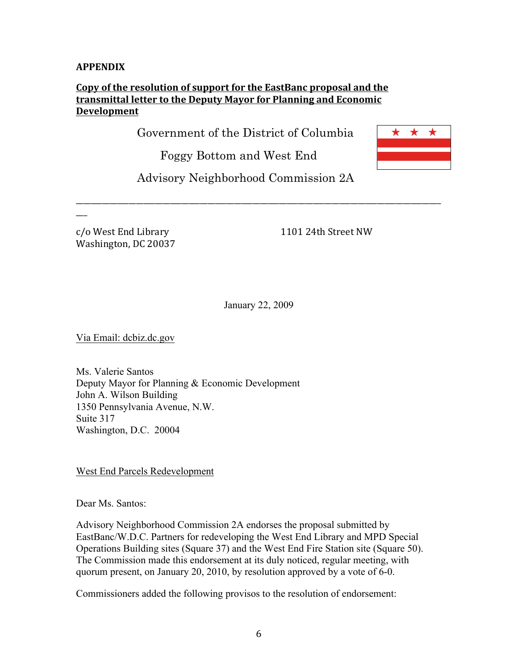#### **APPENDIX**

## Copy of the resolution of support for the EastBanc proposal and the transmittal letter to the Deputy Mayor for Planning and Economic **Development**

Government of the District of Columbia

Foggy Bottom and West End



Advisory Neighborhood Commission 2A

\_\_\_\_\_\_\_\_\_\_\_\_\_\_\_\_\_\_\_\_\_\_\_\_\_\_\_\_\_\_\_\_\_\_\_\_\_\_\_\_\_\_\_\_\_\_\_\_\_\_\_\_\_\_\_\_\_\_\_\_\_\_\_\_\_\_\_\_\_\_\_\_\_\_\_\_\_\_\_\_\_\_\_\_\_\_\_\_\_\_\_\_\_\_\_\_\_

c/o West End Library 1101 24th Street NW Washington, DC 20037

 $\overline{a}$ 

January 22, 2009

Via Email: dcbiz.dc.gov

Ms. Valerie Santos Deputy Mayor for Planning & Economic Development John A. Wilson Building 1350 Pennsylvania Avenue, N.W. Suite 317 Washington, D.C. 20004

West End Parcels Redevelopment

Dear Ms. Santos:

Advisory Neighborhood Commission 2A endorses the proposal submitted by EastBanc/W.D.C. Partners for redeveloping the West End Library and MPD Special Operations Building sites (Square 37) and the West End Fire Station site (Square 50). The Commission made this endorsement at its duly noticed, regular meeting, with quorum present, on January 20, 2010, by resolution approved by a vote of 6-0.

Commissioners added the following provisos to the resolution of endorsement: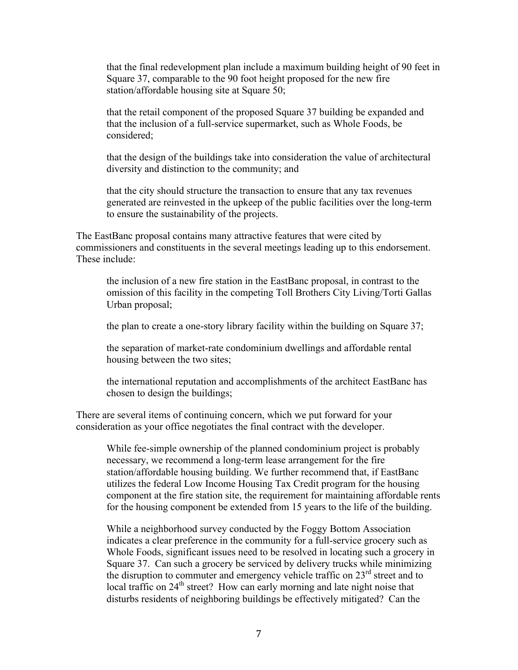that the final redevelopment plan include a maximum building height of 90 feet in Square 37, comparable to the 90 foot height proposed for the new fire station/affordable housing site at Square 50;

that the retail component of the proposed Square 37 building be expanded and that the inclusion of a full-service supermarket, such as Whole Foods, be considered;

that the design of the buildings take into consideration the value of architectural diversity and distinction to the community; and

that the city should structure the transaction to ensure that any tax revenues generated are reinvested in the upkeep of the public facilities over the long-term to ensure the sustainability of the projects.

The EastBanc proposal contains many attractive features that were cited by commissioners and constituents in the several meetings leading up to this endorsement. These include:

the inclusion of a new fire station in the EastBanc proposal, in contrast to the omission of this facility in the competing Toll Brothers City Living/Torti Gallas Urban proposal;

the plan to create a one-story library facility within the building on Square 37;

the separation of market-rate condominium dwellings and affordable rental housing between the two sites;

the international reputation and accomplishments of the architect EastBanc has chosen to design the buildings;

There are several items of continuing concern, which we put forward for your consideration as your office negotiates the final contract with the developer.

While fee-simple ownership of the planned condominium project is probably necessary, we recommend a long-term lease arrangement for the fire station/affordable housing building. We further recommend that, if EastBanc utilizes the federal Low Income Housing Tax Credit program for the housing component at the fire station site, the requirement for maintaining affordable rents for the housing component be extended from 15 years to the life of the building.

While a neighborhood survey conducted by the Foggy Bottom Association indicates a clear preference in the community for a full-service grocery such as Whole Foods, significant issues need to be resolved in locating such a grocery in Square 37. Can such a grocery be serviced by delivery trucks while minimizing the disruption to commuter and emergency vehicle traffic on  $23<sup>rd</sup>$  street and to local traffic on  $24<sup>th</sup>$  street? How can early morning and late night noise that disturbs residents of neighboring buildings be effectively mitigated? Can the